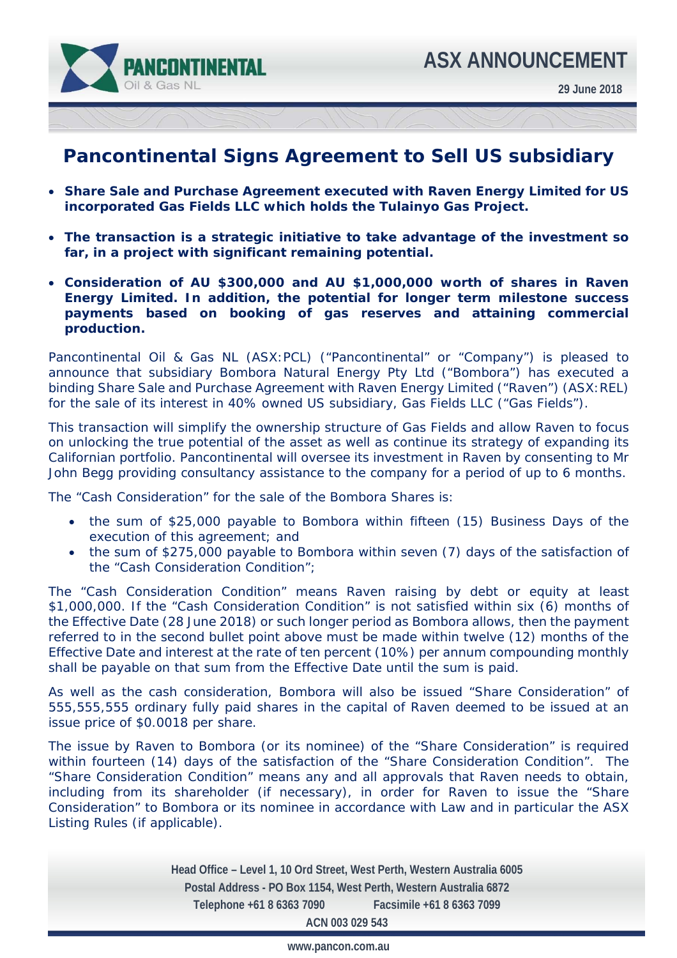

## **Pancontinental Signs Agreement to Sell US subsidiary**

- **Share Sale and Purchase Agreement executed with Raven Energy Limited for US incorporated Gas Fields LLC which holds the Tulainyo Gas Project.**
- **The transaction is a strategic initiative to take advantage of the investment so far, in a project with significant remaining potential.**
- **Consideration of AU \$300,000 and AU \$1,000,000 worth of shares in Raven Energy Limited. In addition, the potential for longer term milestone success payments based on booking of gas reserves and attaining commercial production.**

Pancontinental Oil & Gas NL (ASX:PCL) ("Pancontinental" or "Company") is pleased to announce that subsidiary Bombora Natural Energy Pty Ltd ("Bombora") has executed a binding Share Sale and Purchase Agreement with Raven Energy Limited ("Raven") (ASX:REL) for the sale of its interest in 40% owned US subsidiary, Gas Fields LLC ("Gas Fields").

This transaction will simplify the ownership structure of Gas Fields and allow Raven to focus on unlocking the true potential of the asset as well as continue its strategy of expanding its Californian portfolio. Pancontinental will oversee its investment in Raven by consenting to Mr John Begg providing consultancy assistance to the company for a period of up to 6 months.

The "Cash Consideration" for the sale of the Bombora Shares is:

- the sum of \$25,000 payable to Bombora within fifteen (15) Business Days of the execution of this agreement; and
- the sum of \$275,000 payable to Bombora within seven (7) days of the satisfaction of the "Cash Consideration Condition";

The "Cash Consideration Condition" means Raven raising by debt or equity at least \$1,000,000. If the "Cash Consideration Condition" is not satisfied within six (6) months of the Effective Date (28 June 2018) or such longer period as Bombora allows, then the payment referred to in the second bullet point above must be made within twelve (12) months of the Effective Date and interest at the rate of ten percent (10%) per annum compounding monthly shall be payable on that sum from the Effective Date until the sum is paid.

As well as the cash consideration, Bombora will also be issued "Share Consideration" of 555,555,555 ordinary fully paid shares in the capital of Raven deemed to be issued at an issue price of \$0.0018 per share.

The issue by Raven to Bombora (or its nominee) of the "Share Consideration" is required within fourteen (14) days of the satisfaction of the "Share Consideration Condition". The "Share Consideration Condition" means any and all approvals that Raven needs to obtain, including from its shareholder (if necessary), in order for Raven to issue the "Share Consideration" to Bombora or its nominee in accordance with Law and in particular the ASX Listing Rules (if applicable).

> **Head Office – Level 1, 10 Ord Street, West Perth, Western Australia 6005 Postal Address - PO Box 1154, West Perth, Western Australia 6872 Telephone +61 8 6363 7090 Facsimile +61 8 6363 7099 ACN 003 029 543**

> > **www.pancon.com.au**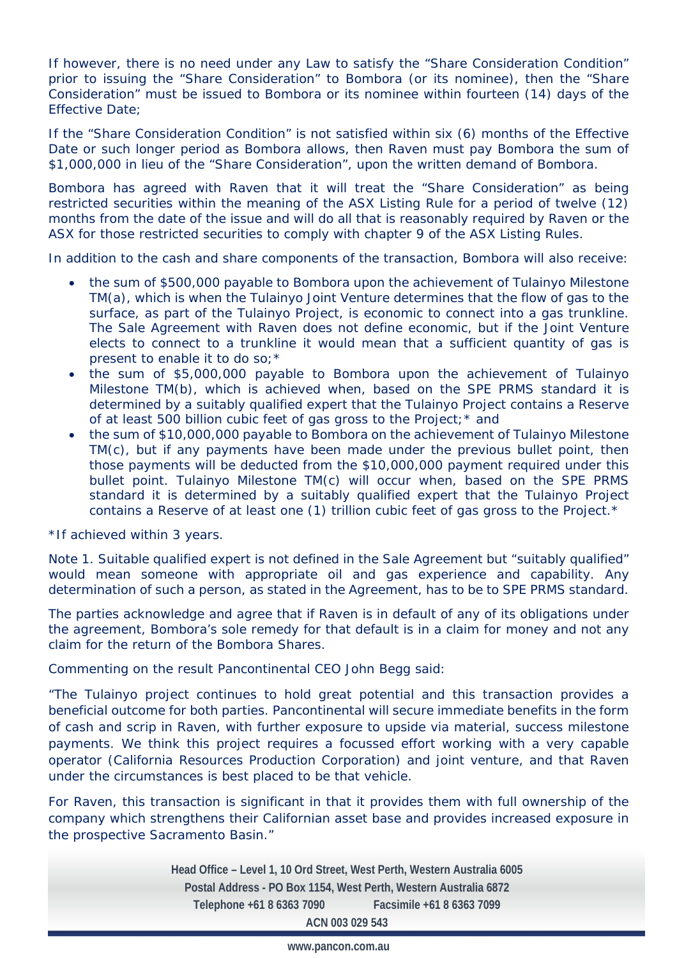If however, there is no need under any Law to satisfy the "Share Consideration Condition" prior to issuing the "Share Consideration" to Bombora (or its nominee), then the "Share Consideration" must be issued to Bombora or its nominee within fourteen (14) days of the Effective Date;

If the "Share Consideration Condition" is not satisfied within six (6) months of the Effective Date or such longer period as Bombora allows, then Raven must pay Bombora the sum of \$1,000,000 in lieu of the "Share Consideration", upon the written demand of Bombora.

Bombora has agreed with Raven that it will treat the "Share Consideration" as being restricted securities within the meaning of the ASX Listing Rule for a period of twelve (12) months from the date of the issue and will do all that is reasonably required by Raven or the ASX for those restricted securities to comply with chapter 9 of the ASX Listing Rules.

In addition to the cash and share components of the transaction, Bombora will also receive:

- the sum of \$500,000 payable to Bombora upon the achievement of Tulainyo Milestone TM(a), which is when the Tulainyo Joint Venture determines that the flow of gas to the surface, as part of the Tulainyo Project, is economic to connect into a gas trunkline. The Sale Agreement with Raven does not define economic, but if the Joint Venture elects to connect to a trunkline it would mean that a sufficient quantity of gas is present to enable it to do so;\*
- the sum of \$5,000,000 payable to Bombora upon the achievement of Tulainyo Milestone TM(b), which is achieved when, based on the SPE PRMS standard it is determined by a suitably qualified expert that the Tulainyo Project contains a Reserve of at least 500 billion cubic feet of gas gross to the Project;\* and
- the sum of \$10,000,000 payable to Bombora on the achievement of Tulainyo Milestone TM(c), but if any payments have been made under the previous bullet point, then those payments will be deducted from the \$10,000,000 payment required under this bullet point. Tulainyo Milestone TM(c) will occur when, based on the SPE PRMS standard it is determined by a suitably qualified expert that the Tulainyo Project contains a Reserve of at least one (1) trillion cubic feet of gas gross to the Project.\*

\*If achieved within 3 years.

Note 1. Suitable qualified expert is not defined in the Sale Agreement but "suitably qualified" would mean someone with appropriate oil and gas experience and capability. Any determination of such a person, as stated in the Agreement, has to be to SPE PRMS standard.

The parties acknowledge and agree that if Raven is in default of any of its obligations under the agreement, Bombora's sole remedy for that default is in a claim for money and not any claim for the return of the Bombora Shares.

Commenting on the result Pancontinental CEO John Begg said:

*"The Tulainyo project continues to hold great potential and this transaction provides a beneficial outcome for both parties. Pancontinental will secure immediate benefits in the form of cash and scrip in Raven, with further exposure to upside via material, success milestone payments. We think this project requires a focussed effort working with a very capable operator (California Resources Production Corporation) and joint venture, and that Raven under the circumstances is best placed to be that vehicle.* 

*For Raven, this transaction is significant in that it provides them with full ownership of the company which strengthens their Californian asset base and provides increased exposure in the prospective Sacramento Basin."* 

> **Head Office – Level 1, 10 Ord Street, West Perth, Western Australia 6005 Postal Address - PO Box 1154, West Perth, Western Australia 6872 Telephone +61 8 6363 7090 Facsimile +61 8 6363 7099 ACN 003 029 543**

> > **www.pancon.com.au**